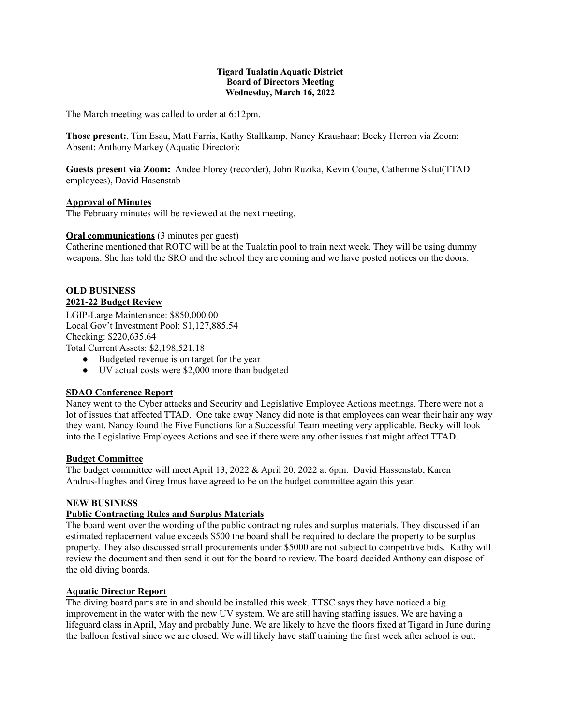### **Tigard Tualatin Aquatic District Board of Directors Meeting Wednesday, March 16, 2022**

The March meeting was called to order at 6:12pm.

**Those present:**, Tim Esau, Matt Farris, Kathy Stallkamp, Nancy Kraushaar; Becky Herron via Zoom; Absent: Anthony Markey (Aquatic Director);

**Guests present via Zoom:** Andee Florey (recorder), John Ruzika, Kevin Coupe, Catherine Sklut(TTAD employees), David Hasenstab

### **Approval of Minutes**

The February minutes will be reviewed at the next meeting.

### **Oral communications** (3 minutes per guest)

Catherine mentioned that ROTC will be at the Tualatin pool to train next week. They will be using dummy weapons. She has told the SRO and the school they are coming and we have posted notices on the doors.

#### **OLD BUSINESS 2021-22 Budget Review**

LGIP-Large Maintenance: \$850,000.00 Local Gov't Investment Pool: \$1,127,885.54 Checking: \$220,635.64 Total Current Assets: \$2,198,521.18

● Budgeted revenue is on target for the year

● UV actual costs were \$2,000 more than budgeted

### **SDAO Conference Report**

Nancy went to the Cyber attacks and Security and Legislative Employee Actions meetings. There were not a lot of issues that affected TTAD. One take away Nancy did note is that employees can wear their hair any way they want. Nancy found the Five Functions for a Successful Team meeting very applicable. Becky will look into the Legislative Employees Actions and see if there were any other issues that might affect TTAD.

### **Budget Committee**

The budget committee will meet April 13, 2022 & April 20, 2022 at 6pm. David Hassenstab, Karen Andrus-Hughes and Greg Imus have agreed to be on the budget committee again this year.

### **NEW BUSINESS**

## **Public Contracting Rules and Surplus Materials**

The board went over the wording of the public contracting rules and surplus materials. They discussed if an estimated replacement value exceeds \$500 the board shall be required to declare the property to be surplus property. They also discussed small procurements under \$5000 are not subject to competitive bids. Kathy will review the document and then send it out for the board to review. The board decided Anthony can dispose of the old diving boards.

### **Aquatic Director Report**

The diving board parts are in and should be installed this week. TTSC says they have noticed a big improvement in the water with the new UV system. We are still having staffing issues. We are having a lifeguard class in April, May and probably June. We are likely to have the floors fixed at Tigard in June during the balloon festival since we are closed. We will likely have staff training the first week after school is out.